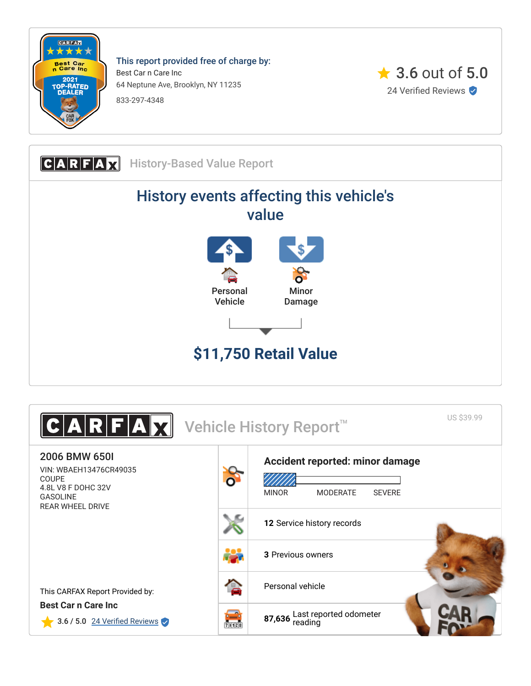

This report provided free of charge by: Best Car n Care Inc 64 Neptune Ave, Brooklyn, NY 11235 833-297-4348



**CARFAX** History-Based Value Report History events affecting this vehicle's value Personal Vehicle Minor Damage **\$11,750 Retail Value**

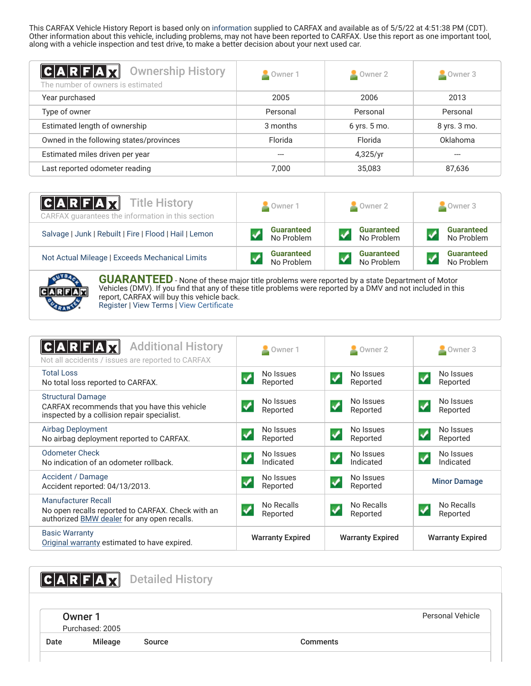This CARFAX Vehicle History Report is based only on [information](http://www.carfax.com/company/vhr-data-sources) supplied to CARFAX and available as of 5/5/22 at 4:51:38 PM (CDT). Other information about this vehicle, including problems, may not have been reported to CARFAX. Use this report as one important tool, along with a vehicle inspection and test drive, to make a better decision about your next used car.

<span id="page-1-2"></span>

| $ C A R F A \chi $<br><b>Ownership History</b><br>The number of owners is estimated | Owner 1  | Owner 2      | Owner 3      |
|-------------------------------------------------------------------------------------|----------|--------------|--------------|
| Year purchased                                                                      | 2005     | 2006         | 2013         |
| Type of owner                                                                       | Personal | Personal     | Personal     |
| Estimated length of ownership                                                       | 3 months | 6 yrs. 5 mo. | 8 yrs. 3 mo. |
| Owned in the following states/provinces                                             | Florida  | Florida      | Oklahoma     |
| Estimated miles driven per year                                                     | ----     | 4,325/yr     |              |
| Last reported odometer reading                                                      | 7.000    | 35,083       | 87,636       |

| <b>CARFAX</b> Title History<br>CARFAX quarantees the information in this section | Owner 1           | $\sim$ Owner 2    | $\sim$ Owner 3    |
|----------------------------------------------------------------------------------|-------------------|-------------------|-------------------|
| Salvage   Junk   Rebuilt   Fire   Flood   Hail   Lemon                           | <b>Guaranteed</b> | <b>Guaranteed</b> | <b>Guaranteed</b> |
|                                                                                  | No Problem        | No Problem        | No Problem        |
| Not Actual Mileage   Exceeds Mechanical Limits                                   | <b>Guaranteed</b> | <b>Guaranteed</b> | <b>Guaranteed</b> |
|                                                                                  | No Problem        | No Problem        | No Problem        |



**GUARANTEED** - None of these major title problems were reported by a state Department of Motor Vehicles (DMV). If you find that any of these title problems were reported by a DMV and not included in this report, CARFAX will buy this vehicle back. [Register](https://www.carfax.com/Service/bbg) | [View Terms](http://www.carfaxonline.com/legal/bbgTerms) | [View Certificate](https://www.carfaxonline.com/vhrs/WBAEH13476CR49035)

<span id="page-1-0"></span>

| <b>Additional History</b><br>CARFA<br>Not all accidents / issues are reported to CARFAX                                        | Owner 1                                          | $\blacksquare$ Owner 2                              | $\blacksquare$ Owner 3                        |
|--------------------------------------------------------------------------------------------------------------------------------|--------------------------------------------------|-----------------------------------------------------|-----------------------------------------------|
| <b>Total Loss</b><br>No total loss reported to CARFAX.                                                                         | No Issues<br>Reported                            | No Issues<br>$\overline{\mathcal{C}}$<br>Reported   | No Issues<br>Reported                         |
| <b>Structural Damage</b><br>CARFAX recommends that you have this vehicle<br>inspected by a collision repair specialist.        | No Issues<br>$\overline{\mathbf{v}}$<br>Reported | No Issues<br>$\boldsymbol{\mathcal{U}}$<br>Reported | No Issues<br>$\blacktriangledown$<br>Reported |
| <b>Airbag Deployment</b><br>No airbag deployment reported to CARFAX.                                                           | No Issues<br>$\boldsymbol{v}$<br>Reported        | No Issues<br>$\blacktriangledown$<br>Reported       | No Issues<br>$\blacktriangledown$<br>Reported |
| <b>Odometer Check</b><br>No indication of an odometer rollback.                                                                | No Issues<br>✔<br>Indicated                      | No Issues<br>$\overline{\mathcal{C}}$<br>Indicated  | No Issues<br>✔<br>Indicated                   |
| Accident / Damage<br>Accident reported: 04/13/2013.                                                                            | No Issues<br>$\blacktriangledown$<br>Reported    | No Issues<br>$\boldsymbol{\mathcal{U}}$<br>Reported | <b>Minor Damage</b>                           |
| <b>Manufacturer Recall</b><br>No open recalls reported to CARFAX. Check with an<br>authorized BMW dealer for any open recalls. | No Recalls<br>✓<br>Reported                      | No Recalls<br>√<br>Reported                         | No Recalls<br>Reported                        |
| <b>Basic Warranty</b><br>Original warranty estimated to have expired.                                                          | <b>Warranty Expired</b>                          | <b>Warranty Expired</b>                             | <b>Warranty Expired</b>                       |

<span id="page-1-1"></span> $|C|A|R|F|A|X$ Detailed History Personal Vehicle Owner 1 Purchased: 2005 Date Mileage Source **Comments**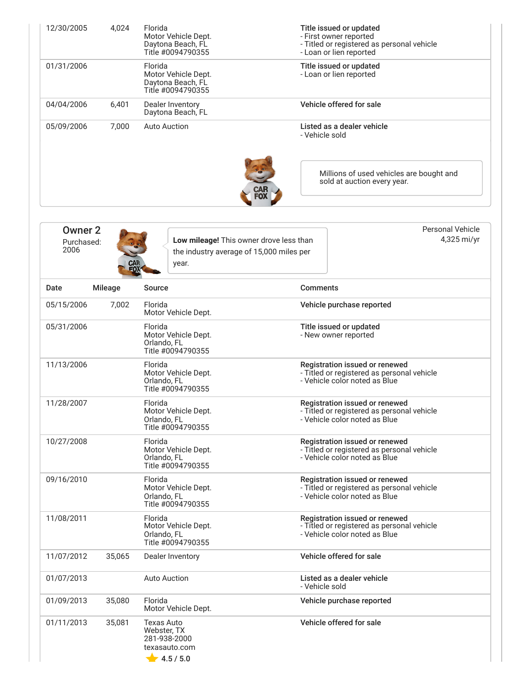| 12/30/2005             | 4,024      | Florida<br>Motor Vehicle Dept.<br>Daytona Beach, FL<br>Title #0094790355                     | Title issued or updated<br>- First owner reported<br>- Titled or registered as personal vehicle<br>- Loan or lien reported |
|------------------------|------------|----------------------------------------------------------------------------------------------|----------------------------------------------------------------------------------------------------------------------------|
| 01/31/2006             |            | Florida<br>Motor Vehicle Dept.<br>Daytona Beach, FL<br>Title #0094790355                     | Title issued or updated<br>- Loan or lien reported                                                                         |
| 04/04/2006             | 6,401      | Dealer Inventory<br>Daytona Beach, FL                                                        | Vehicle offered for sale                                                                                                   |
| 05/09/2006             | 7,000      | Auto Auction                                                                                 | Listed as a dealer vehicle<br>- Vehicle sold                                                                               |
|                        |            |                                                                                              | Millions of used vehicles are bought and<br>sold at auction every year.<br>CAR<br>Fox                                      |
| <b>Owner 2</b>         |            |                                                                                              | Personal Vehicle                                                                                                           |
| Purchased:<br>2006     | CAR<br>EO) | Low mileage! This owner drove less than<br>the industry average of 15,000 miles per<br>year. | 4,325 mi/yr                                                                                                                |
| $A = 1$<br><b>D.L.</b> |            |                                                                                              | $0 - \frac{1}{2}$                                                                                                          |

| Date       | <b>Mileage</b> | Source                                                                       | <b>Comments</b>                                                                                               |
|------------|----------------|------------------------------------------------------------------------------|---------------------------------------------------------------------------------------------------------------|
| 05/15/2006 | 7,002          | Florida<br>Motor Vehicle Dept.                                               | Vehicle purchase reported                                                                                     |
| 05/31/2006 |                | Florida<br>Motor Vehicle Dept.<br>Orlando, FL<br>Title #0094790355           | Title issued or updated<br>- New owner reported                                                               |
| 11/13/2006 |                | Florida<br>Motor Vehicle Dept.<br>Orlando, FL<br>Title #0094790355           | Registration issued or renewed<br>- Titled or registered as personal vehicle<br>- Vehicle color noted as Blue |
| 11/28/2007 |                | Florida<br>Motor Vehicle Dept.<br>Orlando, FL<br>Title #0094790355           | Registration issued or renewed<br>- Titled or registered as personal vehicle<br>- Vehicle color noted as Blue |
| 10/27/2008 |                | Florida<br>Motor Vehicle Dept.<br>Orlando, FL<br>Title #0094790355           | Registration issued or renewed<br>- Titled or registered as personal vehicle<br>- Vehicle color noted as Blue |
| 09/16/2010 |                | Florida<br>Motor Vehicle Dept.<br>Orlando, FL<br>Title #0094790355           | Registration issued or renewed<br>- Titled or registered as personal vehicle<br>- Vehicle color noted as Blue |
| 11/08/2011 |                | Florida<br>Motor Vehicle Dept.<br>Orlando, FL<br>Title #0094790355           | Registration issued or renewed<br>- Titled or registered as personal vehicle<br>- Vehicle color noted as Blue |
| 11/07/2012 | 35,065         | Dealer Inventory                                                             | Vehicle offered for sale                                                                                      |
| 01/07/2013 |                | <b>Auto Auction</b>                                                          | Listed as a dealer vehicle<br>- Vehicle sold                                                                  |
| 01/09/2013 | 35,080         | Florida<br>Motor Vehicle Dept.                                               | Vehicle purchase reported                                                                                     |
| 01/11/2013 | 35,081         | <b>Texas Auto</b><br>Webster, TX<br>281-938-2000<br>texasauto.com<br>4.5/5.0 | Vehicle offered for sale                                                                                      |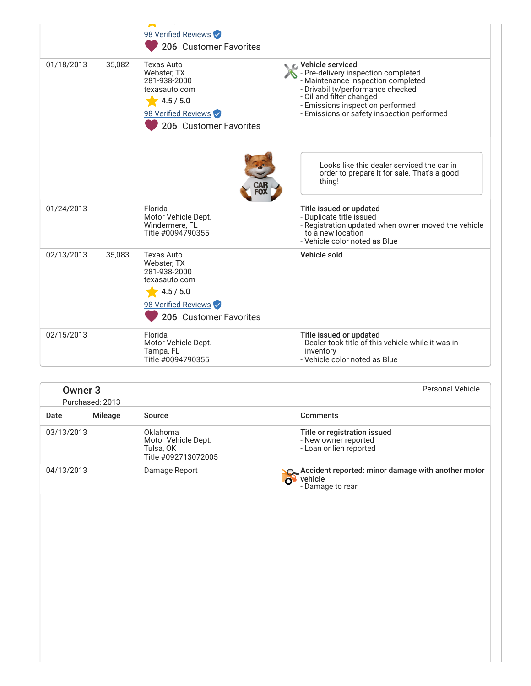|            |        | 98 Verified Reviews<br>206 Customer Favorites                                                                                 |                                                                                                                                                                                                                                                           |
|------------|--------|-------------------------------------------------------------------------------------------------------------------------------|-----------------------------------------------------------------------------------------------------------------------------------------------------------------------------------------------------------------------------------------------------------|
| 01/18/2013 | 35,082 | <b>Texas Auto</b><br>Webster, TX<br>281-938-2000<br>texasauto.com<br>4.5/5.0<br>98 Verified Reviews<br>206 Customer Favorites | <i>L</i> Vehicle serviced<br>- Pre-delivery inspection completed<br>- Maintenance inspection completed<br>- Drivability/performance checked<br>- Oil and filter changed<br>- Emissions inspection performed<br>- Emissions or safety inspection performed |
|            |        |                                                                                                                               | Looks like this dealer serviced the car in<br>order to prepare it for sale. That's a good<br>thing!                                                                                                                                                       |
| 01/24/2013 |        | Florida<br>Motor Vehicle Dept.<br>Windermere, FL<br>Title #0094790355                                                         | Title issued or updated<br>- Duplicate title issued<br>- Registration updated when owner moved the vehicle<br>to a new location<br>- Vehicle color noted as Blue                                                                                          |
| 02/13/2013 | 35,083 | Texas Auto<br>Webster, TX<br>281-938-2000<br>texasauto.com<br>4.5 / 5.0<br>98 Verified Reviews<br>206 Customer Favorites      | Vehicle sold                                                                                                                                                                                                                                              |
| 02/15/2013 |        | Florida<br>Motor Vehicle Dept.<br>Tampa, FL<br>Title #0094790355                                                              | Title issued or updated<br>- Dealer took title of this vehicle while it was in<br>inventory<br>- Vehicle color noted as Blue                                                                                                                              |

<span id="page-3-0"></span>

| Owner <sub>3</sub><br>Purchased: 2013 |         |                                                                     | Personal Vehicle                                                                |
|---------------------------------------|---------|---------------------------------------------------------------------|---------------------------------------------------------------------------------|
| Date                                  | Mileage | Source                                                              | <b>Comments</b>                                                                 |
| 03/13/2013                            |         | Oklahoma<br>Motor Vehicle Dept.<br>Tulsa, OK<br>Title #092713072005 | Title or registration issued<br>- New owner reported<br>- Loan or lien reported |
| 04/13/2013                            |         | Damage Report                                                       | Accident reported: minor damage with another motor<br>vehicle                   |

- Damage to rear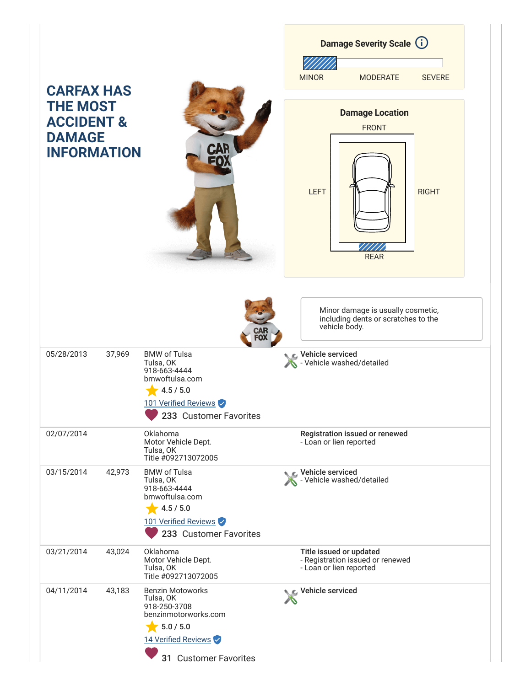|                                                                                |                                                                                                                                           |              |                    | <b>Damage Severity Scale (i)</b>                                                          |               |
|--------------------------------------------------------------------------------|-------------------------------------------------------------------------------------------------------------------------------------------|--------------|--------------------|-------------------------------------------------------------------------------------------|---------------|
|                                                                                |                                                                                                                                           | <b>MINOR</b> |                    | <b>MODERATE</b>                                                                           | <b>SEVERE</b> |
| <b>CARFAX HAS</b><br><b>THE MOST</b><br><b>ACCIDENT &amp;</b><br><b>DAMAGE</b> |                                                                                                                                           |              |                    | <b>Damage Location</b><br><b>FRONT</b>                                                    |               |
| <b>INFORMATION</b>                                                             | CAR<br>30)                                                                                                                                |              | <b>LEFT</b>        | <b>REAR</b>                                                                               | <b>RIGHT</b>  |
|                                                                                |                                                                                                                                           |              |                    | Minor damage is usually cosmetic,<br>including dents or scratches to the<br>vehicle body. |               |
| 05/28/2013<br>37,969                                                           | <b>BMW</b> of Tulsa<br>Tulsa, OK<br>918-663-4444<br>bmwoftulsa.com<br>4.5 / 5.0<br>101 Verified Reviews<br>233 Customer Favorites         |              | C Vehicle serviced | - Vehicle washed/detailed                                                                 |               |
| 02/07/2014                                                                     | Oklahoma<br>Motor Vehicle Dept.<br>Tulsa, OK<br>Title #092713072005                                                                       |              |                    | Registration issued or renewed<br>- Loan or lien reported                                 |               |
| 03/15/2014<br>42,973                                                           | <b>BMW of Tulsa</b><br>Tulsa, OK<br>918-663-4444<br>bmwoftulsa.com<br>4.5 / 5.0<br>101 Verified Reviews<br>233 Customer Favorites         |              |                    | Vehicle serviced<br>- Vehicle washed/detailed                                             |               |
| 03/21/2014<br>43,024                                                           | Oklahoma<br>Motor Vehicle Dept.<br>Tulsa, OK<br>Title #092713072005                                                                       |              |                    | Title issued or updated<br>- Registration issued or renewed<br>- Loan or lien reported    |               |
| 04/11/2014<br>43,183                                                           | <b>Benzin Motoworks</b><br>Tulsa, OK<br>918-250-3708<br>benzinmotorworks.com<br>5.0 / 5.0<br>14 Verified Reviews<br>31 Customer Favorites |              | Vehicle serviced   |                                                                                           |               |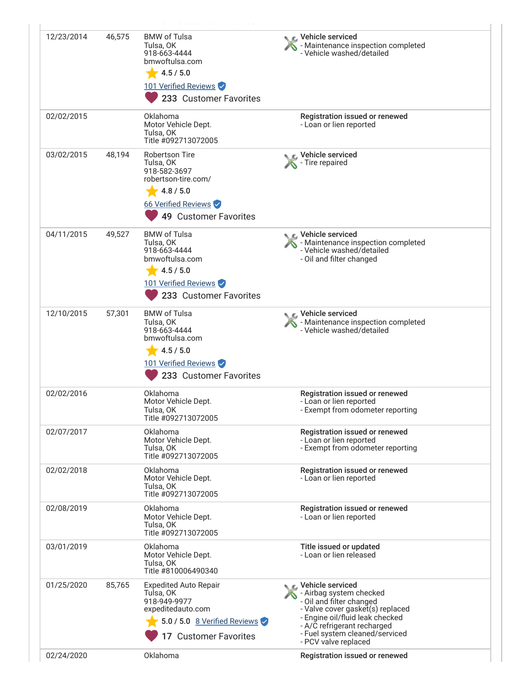| 12/23/2014 | 46,575 | <b>BMW</b> of Tulsa<br>Tulsa, OK<br>918-663-4444<br>bmwoftulsa.com<br>4.5 / 5.0<br>101 Verified Reviews<br>233 Customer Favorites       | C Vehicle serviced<br>- Maintenance inspection completed<br>- Vehicle washed/detailed                                                                                                                                                   |
|------------|--------|-----------------------------------------------------------------------------------------------------------------------------------------|-----------------------------------------------------------------------------------------------------------------------------------------------------------------------------------------------------------------------------------------|
| 02/02/2015 |        | Oklahoma<br>Motor Vehicle Dept.<br>Tulsa, OK<br>Title #092713072005                                                                     | Registration issued or renewed<br>- Loan or lien reported                                                                                                                                                                               |
| 03/02/2015 | 48,194 | Robertson Tire<br>Tulsa, OK<br>918-582-3697<br>robertson-tire.com/<br>4.8 / 5.0<br>66 Verified Reviews<br>49 Customer Favorites         | Vehicle serviced<br>- Tire repaired                                                                                                                                                                                                     |
| 04/11/2015 | 49,527 | <b>BMW</b> of Tulsa<br>Tulsa, OK<br>918-663-4444<br>bmwoftulsa.com<br>4.5 / 5.0<br>101 Verified Reviews<br>233 Customer Favorites       | ९ C Vehicle serviced<br>- Maintenance inspection completed<br>- Vehicle washed/detailed<br>- Oil and filter changed                                                                                                                     |
| 12/10/2015 | 57,301 | <b>BMW</b> of Tulsa<br>Tulsa, OK<br>918-663-4444<br>bmwoftulsa.com<br>4.5 / 5.0<br>101 Verified Reviews<br>233 Customer Favorites       | Vehicle serviced<br>V - Maintenance inspection completed<br>- Vehicle washed/detailed                                                                                                                                                   |
| 02/02/2016 |        | Oklahoma<br>Motor Vehicle Dept.<br>Tulsa, OK<br>Title #092713072005                                                                     | Registration issued or renewed<br>- Loan or lien reported<br>- Exempt from odometer reporting                                                                                                                                           |
| 02/07/2017 |        | Oklahoma<br>Motor Vehicle Dept.<br>Tulsa, OK<br>Title #092713072005                                                                     | Registration issued or renewed<br>- Loan or lien reported<br>- Exempt from odometer reporting                                                                                                                                           |
| 02/02/2018 |        | Oklahoma<br>Motor Vehicle Dept.<br>Tulsa, OK<br>Title #092713072005                                                                     | Registration issued or renewed<br>- Loan or lien reported                                                                                                                                                                               |
| 02/08/2019 |        | Oklahoma<br>Motor Vehicle Dept.<br>Tulsa, OK<br>Title #092713072005                                                                     | Registration issued or renewed<br>- Loan or lien reported                                                                                                                                                                               |
| 03/01/2019 |        | Oklahoma<br>Motor Vehicle Dept.<br>Tulsa, OK<br>Title #810006490340                                                                     | Title issued or updated<br>- Loan or lien released                                                                                                                                                                                      |
| 01/25/2020 | 85,765 | <b>Expedited Auto Repair</b><br>Tulsa, OK<br>918-949-9977<br>expeditedauto.com<br>5.0 / 5.0 8 Verified Reviews<br>17 Customer Favorites | Vehicle serviced<br>- Airbag system checked<br>- Oil and filter changed<br>- Valve cover gasket(s) replaced<br>- Engine oil/fluid leak checked<br>- A/C refrigerant recharged<br>- Fuel system cleaned/serviced<br>- PCV valve replaced |
| 02/24/2020 |        | Oklahoma                                                                                                                                | Registration issued or renewed                                                                                                                                                                                                          |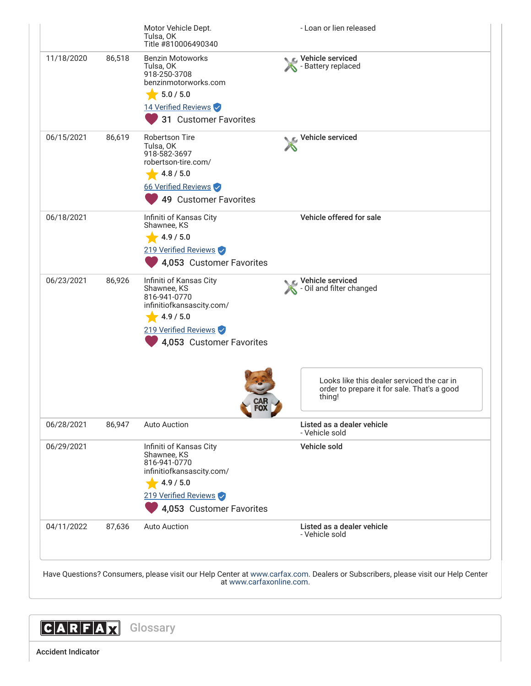

 $|C|A|R|F|A|\overline{M}$ **Glossary** 

Accident Indicator